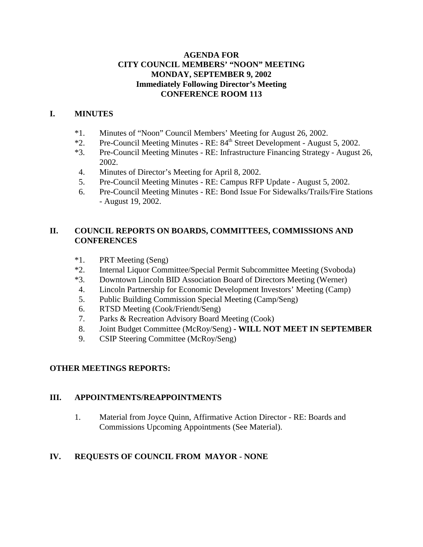### **AGENDA FOR CITY COUNCIL MEMBERS' "NOON" MEETING MONDAY, SEPTEMBER 9, 2002 Immediately Following Director's Meeting CONFERENCE ROOM 113**

## **I. MINUTES**

- \*1. Minutes of "Noon" Council Members' Meeting for August 26, 2002.
- \*2. Pre-Council Meeting Minutes RE: 84th Street Development August 5, 2002.
- \*3. Pre-Council Meeting Minutes RE: Infrastructure Financing Strategy August 26, 2002.
- 4. Minutes of Director's Meeting for April 8, 2002.
- 5. Pre-Council Meeting Minutes RE: Campus RFP Update August 5, 2002.
- 6. Pre-Council Meeting Minutes RE: Bond Issue For Sidewalks/Trails/Fire Stations - August 19, 2002.

# **II. COUNCIL REPORTS ON BOARDS, COMMITTEES, COMMISSIONS AND CONFERENCES**

- \*1. PRT Meeting (Seng)
- \*2. Internal Liquor Committee/Special Permit Subcommittee Meeting (Svoboda)
- \*3. Downtown Lincoln BID Association Board of Directors Meeting (Werner)
- 4. Lincoln Partnership for Economic Development Investors' Meeting (Camp)
- 5. Public Building Commission Special Meeting (Camp/Seng)
- 6. RTSD Meeting (Cook/Friendt/Seng)
- 7. Parks & Recreation Advisory Board Meeting (Cook)
- 8. Joint Budget Committee (McRoy/Seng) **WILL NOT MEET IN SEPTEMBER**
- 9. CSIP Steering Committee (McRoy/Seng)

# **OTHER MEETINGS REPORTS:**

### **III. APPOINTMENTS/REAPPOINTMENTS**

1. Material from Joyce Quinn, Affirmative Action Director - RE: Boards and Commissions Upcoming Appointments (See Material).

# **IV. REQUESTS OF COUNCIL FROM MAYOR - NONE**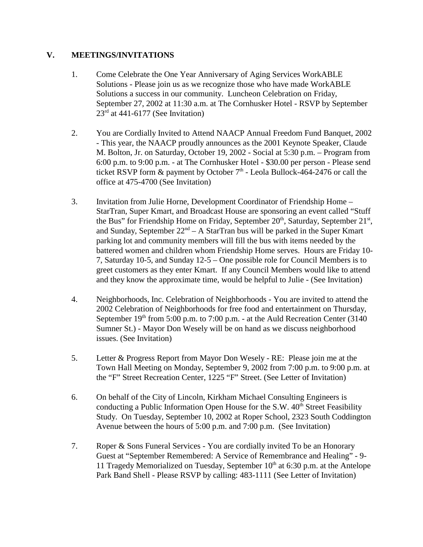### **V. MEETINGS/INVITATIONS**

- 1. Come Celebrate the One Year Anniversary of Aging Services WorkABLE Solutions - Please join us as we recognize those who have made WorkABLE Solutions a success in our community. Luncheon Celebration on Friday, September 27, 2002 at 11:30 a.m. at The Cornhusker Hotel - RSVP by September  $23<sup>rd</sup>$  at 441-6177 (See Invitation)
- 2. You are Cordially Invited to Attend NAACP Annual Freedom Fund Banquet, 2002 - This year, the NAACP proudly announces as the 2001 Keynote Speaker, Claude M. Bolton, Jr. on Saturday, October 19, 2002 - Social at 5:30 p.m. – Program from 6:00 p.m. to 9:00 p.m. - at The Cornhusker Hotel - \$30.00 per person - Please send ticket RSVP form  $\&$  payment by October 7<sup>th</sup> - Leola Bullock-464-2476 or call the office at 475-4700 (See Invitation)
- 3. Invitation from Julie Horne, Development Coordinator of Friendship Home StarTran, Super Kmart, and Broadcast House are sponsoring an event called "Stuff the Bus" for Friendship Home on Friday, September  $20<sup>th</sup>$ , Saturday, September  $21<sup>st</sup>$ , and Sunday, September  $22<sup>nd</sup> - A StarTran bus will be parked in the Super Kamart$ parking lot and community members will fill the bus with items needed by the battered women and children whom Friendship Home serves. Hours are Friday 10- 7, Saturday 10-5, and Sunday 12-5 – One possible role for Council Members is to greet customers as they enter Kmart. If any Council Members would like to attend and they know the approximate time, would be helpful to Julie - (See Invitation)
- 4. Neighborhoods, Inc. Celebration of Neighborhoods You are invited to attend the 2002 Celebration of Neighborhoods for free food and entertainment on Thursday, September  $19<sup>th</sup>$  from 5:00 p.m. to 7:00 p.m. - at the Auld Recreation Center (3140) Sumner St.) - Mayor Don Wesely will be on hand as we discuss neighborhood issues. (See Invitation)
- 5. Letter & Progress Report from Mayor Don Wesely RE: Please join me at the Town Hall Meeting on Monday, September 9, 2002 from 7:00 p.m. to 9:00 p.m. at the "F" Street Recreation Center, 1225 "F" Street. (See Letter of Invitation)
- 6. On behalf of the City of Lincoln, Kirkham Michael Consulting Engineers is conducting a Public Information Open House for the S.W.  $40<sup>th</sup>$  Street Feasibility Study. On Tuesday, September 10, 2002 at Roper School, 2323 South Coddington Avenue between the hours of 5:00 p.m. and 7:00 p.m. (See Invitation)
- 7. Roper & Sons Funeral Services You are cordially invited To be an Honorary Guest at "September Remembered: A Service of Remembrance and Healing" - 9- 11 Tragedy Memorialized on Tuesday, September  $10<sup>th</sup>$  at 6:30 p.m. at the Antelope Park Band Shell - Please RSVP by calling: 483-1111 (See Letter of Invitation)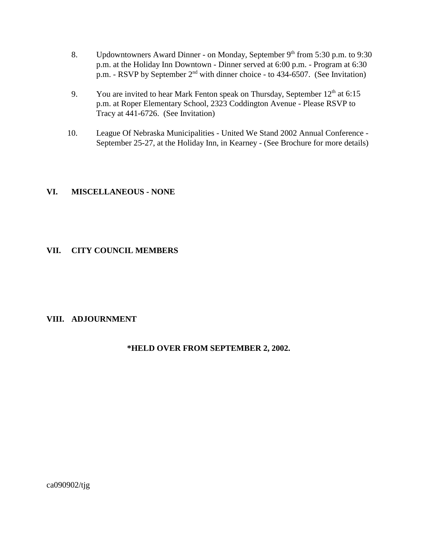- 8. Updowntowners Award Dinner on Monday, September 9<sup>th</sup> from 5:30 p.m. to 9:30 p.m. at the Holiday Inn Downtown - Dinner served at 6:00 p.m. - Program at 6:30 p.m. - RSVP by September  $2<sup>nd</sup>$  with dinner choice - to 434-6507. (See Invitation)
- 9. You are invited to hear Mark Fenton speak on Thursday, September  $12<sup>th</sup>$  at 6:15 p.m. at Roper Elementary School, 2323 Coddington Avenue - Please RSVP to Tracy at 441-6726. (See Invitation)
- 10. League Of Nebraska Municipalities United We Stand 2002 Annual Conference September 25-27, at the Holiday Inn, in Kearney - (See Brochure for more details)

### **VI. MISCELLANEOUS - NONE**

### **VII. CITY COUNCIL MEMBERS**

### **VIII. ADJOURNMENT**

#### **\*HELD OVER FROM SEPTEMBER 2, 2002.**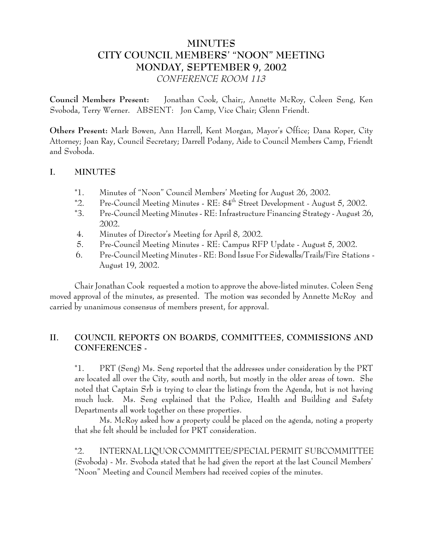# **MINUTES CITY COUNCIL MEMBERS' "NOON" MEETING MONDAY, SEPTEMBER 9, 2002** *CONFERENCE ROOM 113*

**Council Members Present:** Jonathan Cook, Chair;, Annette McRoy, Coleen Seng, Ken Svoboda, Terry Werner. ABSENT: Jon Camp, Vice Chair; Glenn Friendt.

**Others Present:** Mark Bowen, Ann Harrell, Kent Morgan, Mayor's Office; Dana Roper, City Attorney; Joan Ray, Council Secretary; Darrell Podany, Aide to Council Members Camp, Friendt and Svoboda.

### **I. MINUTES**

- \*1. Minutes of "Noon" Council Members' Meeting for August 26, 2002.
- \*2. Pre-Council Meeting Minutes RE: 84th Street Development August 5, 2002.
- \*3. Pre-Council Meeting Minutes RE: Infrastructure Financing Strategy August 26, 2002.
- 4. Minutes of Director's Meeting for April 8, 2002.
- 5. Pre-Council Meeting Minutes RE: Campus RFP Update August 5, 2002.
- 6. Pre-Council Meeting Minutes RE: Bond Issue For Sidewalks/Trails/Fire Stations August 19, 2002.

Chair Jonathan Cook requested a motion to approve the above-listed minutes. Coleen Seng moved approval of the minutes, as presented. The motion was seconded by Annette McRoy and carried by unanimous consensus of members present, for approval.

# **II. COUNCIL REPORTS ON BOARDS, COMMITTEES, COMMISSIONS AND CONFERENCES -**

\*1. PRT (Seng) Ms. Seng reported that the addresses under consideration by the PRT are located all over the City, south and north, but mostly in the older areas of town. She noted that Captain Srb is trying to clear the listings from the Agenda, but is not having much luck. Ms. Seng explained that the Police, Health and Building and Safety Departments all work together on these properties.

Ms. McRoy asked how a property could be placed on the agenda, noting a property that she felt should be included for PRT consideration.

\*2. INTERNAL LIQUOR COMMITTEE/SPECIAL PERMIT SUBCOMMITTEE (Svoboda) - Mr. Svoboda stated that he had given the report at the last Council Members' "Noon" Meeting and Council Members had received copies of the minutes.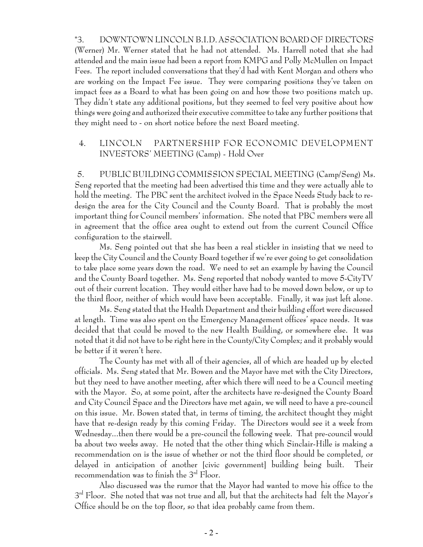\*3. DOWNTOWN LINCOLN B.I.D. ASSOCIATION BOARD OF DIRECTORS (Werner) Mr. Werner stated that he had not attended. Ms. Harrell noted that she had attended and the main issue had been a report from KMPG and Polly McMullen on Impact Fees. The report included conversations that they'd had with Kent Morgan and others who are working on the Impact Fee issue. They were comparing positions they've taken on impact fees as a Board to what has been going on and how those two positions match up. They didn't state any additional positions, but they seemed to feel very positive about how things were going and authorized their executive committee to take any further positions that they might need to - on short notice before the next Board meeting.

## 4. LINCOLN PARTNERSHIP FOR ECONOMIC DEVELOPMENT INVESTORS' MEETING (Camp) - Hold Over

 5. PUBLIC BUILDING COMMISSION SPECIAL MEETING (Camp/Seng) Ms. Seng reported that the meeting had been advertised this time and they were actually able to hold the meeting. The PBC sent the architect ivolved in the Space Needs Study back to redesign the area for the City Council and the County Board. That is probably the most important thing for Council members' information. She noted that PBC members were all in agreement that the office area ought to extend out from the current Council Office configuration to the stairwell.

Ms. Seng pointed out that she has been a real stickler in insisting that we need to keep the City Council and the County Board together if we're ever going to get consolidation to take place some years down the road. We need to set an example by having the Council and the County Board together. Ms. Seng reported that nobody wanted to move 5-CityTV out of their current location. They would either have had to be moved down below, or up to the third floor, neither of which would have been acceptable. Finally, it was just left alone.

Ms. Seng stated that the Health Department and their building effort were discussed at length. Time was also spent on the Emergency Management offices' space needs. It was decided that that could be moved to the new Health Building, or somewhere else. It was noted that it did not have to be right here in the County/City Complex; and it probably would be better if it weren't here.

The County has met with all of their agencies, all of which are headed up by elected officials. Ms. Seng stated that Mr. Bowen and the Mayor have met with the City Directors, but they need to have another meeting, after which there will need to be a Council meeting with the Mayor. So, at some point, after the architects have re-designed the County Board and City Council Space and the Directors have met again, we will need to have a pre-council on this issue. Mr. Bowen stated that, in terms of timing, the architect thought they might have that re-design ready by this coming Friday. The Directors would see it a week from Wednesday...then there would be a pre-council the following week. That pre-council would ba about two weeks away. He noted that the other thing which Sinclair-Hille is making a recommendation on is the issue of whether or not the third floor should be completed, or delayed in anticipation of another [civic government] building being built. Their recommendation was to finish the 3rd Floor.

Also discussed was the rumor that the Mayor had wanted to move his office to the  $3<sup>rd</sup>$  Floor. She noted that was not true and all, but that the architects had felt the Mayor's Office should be on the top floor, so that idea probably came from them.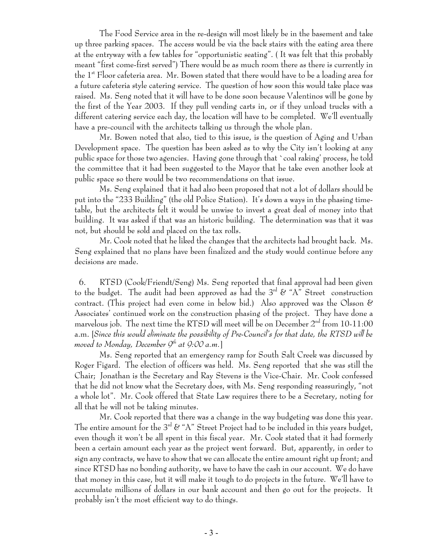The Food Service area in the re-design will most likely be in the basement and take up three parking spaces. The access would be via the back stairs with the eating area there at the entryway with a few tables for "opportunistic seating". ( It was felt that this probably meant "first come-first served") There would be as much room there as there is currently in the  $1^\text{st}$  Floor cafeteria area. Mr. Bowen stated that there would have to be a loading area for a future cafeteria style catering service. The question of how soon this would take place was raised. Ms. Seng noted that it will have to be done soon because Valentinos will be gone by the first of the Year 2003. If they pull vending carts in, or if they unload trucks with a different catering service each day, the location will have to be completed. We'll eventually have a pre-council with the architects talking us through the whole plan.

Mr. Bowen noted that also, tied to this issue, is the question of Aging and Urban Development space. The question has been asked as to why the City isn't looking at any public space for those two agencies. Having gone through that `coal raking' process, he told the committee that it had been suggested to the Mayor that he take even another look at public space so there would be two recommendations on that issue.

Ms. Seng explained that it had also been proposed that not a lot of dollars should be put into the "233 Building" (the old Police Station). It's down a ways in the phasing timetable, but the architects felt it would be unwise to invest a great deal of money into that building. It was asked if that was an historic building. The determination was that it was not, but should be sold and placed on the tax rolls.

Mr. Cook noted that he liked the changes that the architects had brought back. Ms. Seng explained that no plans have been finalized and the study would continue before any decisions are made.

 6. RTSD (Cook/Friendt/Seng) Ms. Seng reported that final approval had been given to the budget. The audit had been approved as had the  $3^{rd}$  & "A" Street construction contract. (This project had even come in below bid.) Also approved was the Olsson  $\mathscr E$ Associates' continued work on the construction phasing of the project. They have done a marvelous job. The next time the RTSD will meet will be on December  $2<sup>nd</sup>$  from 10-11:00 a.m. [*Since this would eliminate the possibility of Pre-Council's for that date, the RTSD will be moved to Monday, December 9th at 9:00 a.m.*]

Ms. Seng reported that an emergency ramp for South Salt Creek was discussed by Roger Figard. The election of officers was held. Ms. Seng reported that she was still the Chair; Jonathan is the Secretary and Ray Stevens is the Vice-Chair. Mr. Cook confessed that he did not know what the Secretary does, with Ms. Seng responding reassuringly, "not a whole lot". Mr. Cook offered that State Law requires there to be a Secretary, noting for all that he will not be taking minutes.

Mr. Cook reported that there was a change in the way budgeting was done this year. The entire amount for the  $3^{rd}$  & "A" Street Project had to be included in this years budget, even though it won't be all spent in this fiscal year. Mr. Cook stated that it had formerly been a certain amount each year as the project went forward. But, apparently, in order to sign any contracts, we have to show that we can allocate the entire amount right up front; and since RTSD has no bonding authority, we have to have the cash in our account. We do have that money in this case, but it will make it tough to do projects in the future. We'll have to accumulate millions of dollars in our bank account and then go out for the projects. It probably isn't the most efficient way to do things.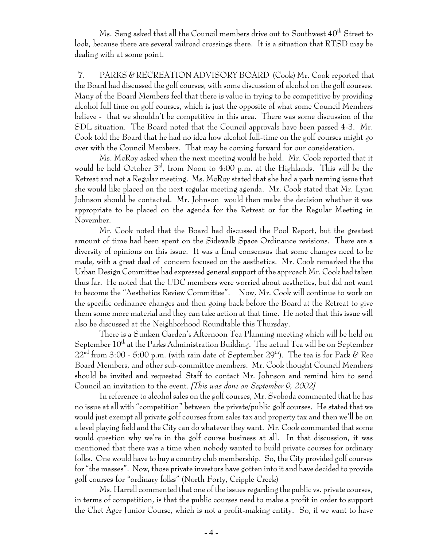Ms. Seng asked that all the Council members drive out to Southwest  $40^{th}$  Street to look, because there are several railroad crossings there. It is a situation that RTSD may be dealing with at some point.

 7. PARKS & RECREATION ADVISORY BOARD (Cook) Mr. Cook reported that the Board had discussed the golf courses, with some discussion of alcohol on the golf courses. Many of the Board Members feel that there is value in trying to be competitive by providing alcohol full time on golf courses, which is just the opposite of what some Council Members believe - that we shouldn't be competitive in this area. There was some discussion of the SDL situation. The Board noted that the Council approvals have been passed 4-3. Mr. Cook told the Board that he had no idea how alcohol full-time on the golf courses might go over with the Council Members. That may be coming forward for our consideration.

Ms. McRoy asked when the next meeting would be held. Mr. Cook reported that it would be held October 3<sup>rd</sup>, from Noon to 4:00 p.m. at the Highlands. This will be the Retreat and not a Regular meeting. Ms. McRoy stated that she had a park naming issue that she would like placed on the next regular meeting agenda. Mr. Cook stated that Mr. Lynn Johnson should be contacted. Mr. Johnson would then make the decision whether it was appropriate to be placed on the agenda for the Retreat or for the Regular Meeting in November.

Mr. Cook noted that the Board had discussed the Pool Report, but the greatest amount of time had been spent on the Sidewalk Space Ordinance revisions. There are a diversity of opinions on this issue. It was a final consensus that some changes need to be made, with a great deal of concern focused on the aesthetics. Mr. Cook remarked the the Urban Design Committee had expressed general support of the approach Mr. Cook had taken thus far. He noted that the UDC members were worried about aesthetics, but did not want to become the "Aesthetics Review Committee". Now, Mr. Cook will continue to work on the specific ordinance changes and then going back before the Board at the Retreat to give them some more material and they can take action at that time. He noted that this issue will also be discussed at the Neighborhood Roundtable this Thursday.

There is a Sunken Garden's Afternoon Tea Planning meeting which will be held on September  $10^{th}$  at the Parks Administration Building. The actual Tea will be on September  $22<sup>nd</sup>$  from 3:00 - 5:00 p.m. (with rain date of September 29<sup>th</sup>). The tea is for Park & Rec Board Members, and other sub-committee members. Mr. Cook thought Council Members should be invited and requested Staff to contact Mr. Johnson and remind him to send Council an invitation to the event. *[This was done on September 9, 2002]*

In reference to alcohol sales on the golf courses, Mr. Svoboda commented that he has no issue at all with "competition" between the private/public golf courses. He stated that we would just exempt all private golf courses from sales tax and property tax and then we'll be on a level playing field and the City can do whatever they want. Mr. Cook commented that some would question why we're in the golf course business at all. In that discussion, it was mentioned that there was a time when nobody wanted to build private courses for ordinary folks. One would have to buy a country club membership. So, the City provided golf courses for "the masses". Now, those private investors have gotten into it and have decided to provide golf courses for "ordinary folks" (North Forty, Cripple Creek)

Ms. Harrell commented that one of the issues regarding the public vs. private courses, in terms of competition, is that the public courses need to make a profit in order to support the Chet Ager Junior Course, which is not a profit-making entity. So, if we want to have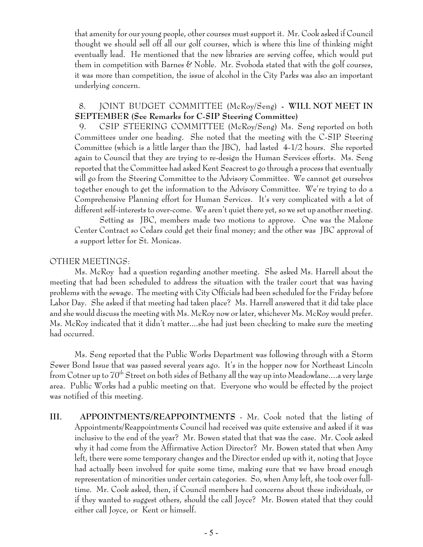that amenity for our young people, other courses must support it. Mr. Cook asked if Council thought we should sell off all our golf courses, which is where this line of thinking might eventually lead. He mentioned that the new libraries are serving coffee, which would put them in competition with Barnes  $\mathscr C$  Noble. Mr. Svoboda stated that with the golf courses, it was more than competition, the issue of alcohol in the City Parks was also an important underlying concern.

## 8. JOINT BUDGET COMMITTEE (McRoy/Seng) **- WILL NOT MEET IN SEPTEMBER (See Remarks for C-SIP Steering Committee)**

9. CSIP STEERING COMMITTEE (McRoy/Seng) Ms. Seng reported on both Committees under one heading. She noted that the meeting with the C-SIP Steering Committee (which is a little larger than the JBC), had lasted 4-1/2 hours. She reported again to Council that they are trying to re-design the Human Services efforts. Ms. Seng reported that the Committee had asked Kent Seacrest to go through a process that eventually will go from the Steering Committee to the Advisory Committee. We cannot get ourselves together enough to get the information to the Advisory Committee. We're trying to do a Comprehensive Planning effort for Human Services. It's very complicated with a lot of different self-interests to over-come. We aren't quiet there yet, so we set up another meeting.

Setting as JBC, members made two motions to approve. One was the Malone Center Contract so Cedars could get their final money; and the other was JBC approval of a support letter for St. Monicas.

### OTHER MEETINGS:

Ms. McRoy had a question regarding another meeting. She asked Ms. Harrell about the meeting that had been scheduled to address the situation with the trailer court that was having problems with the sewage. The meeting with City Officials had been scheduled for the Friday before Labor Day. She asked if that meeting had taken place? Ms. Harrell answered that it did take place and she would discuss the meeting with Ms. McRoy now or later, whichever Ms. McRoy would prefer. Ms. McRoy indicated that it didn't matter....she had just been checking to make sure the meeting had occurred.

Ms. Seng reported that the Public Works Department was following through with a Storm Sewer Bond Issue that was passed several years ago. It's in the hopper now for Northeast Lincoln from Cotner up to  $70^{\text{th}}$  Street on both sides of Bethany all the way up into Meadowlane....a very large area. Public Works had a public meeting on that. Everyone who would be effected by the project was notified of this meeting.

**III. APPOINTMENTS/REAPPOINTMENTS** - Mr. Cook noted that the listing of Appointments/Reappointments Council had received was quite extensive and asked if it was inclusive to the end of the year? Mr. Bowen stated that that was the case. Mr. Cook asked why it had come from the Affirmative Action Director? Mr. Bowen stated that when Amy left, there were some temporary changes and the Director ended up with it, noting that Joyce had actually been involved for quite some time, making sure that we have broad enough representation of minorities under certain categories. So, when Amy left, she took over fulltime. Mr. Cook asked, then, if Council members had concerns about these individuals, or if they wanted to suggest others, should the call Joyce? Mr. Bowen stated that they could either call Joyce, or Kent or himself.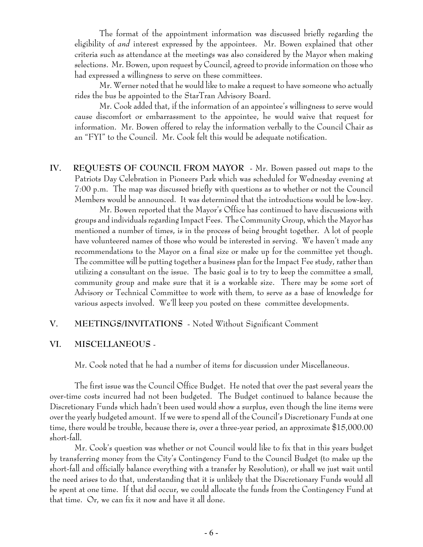The format of the appointment information was discussed briefly regarding the eligibility of *and* interest expressed by the appointees. Mr. Bowen explained that other criteria such as attendance at the meetings was also considered by the Mayor when making selections. Mr. Bowen, upon request by Council, agreed to provide information on those who had expressed a willingness to serve on these committees.

Mr. Werner noted that he would like to make a request to have someone who actually rides the bus be appointed to the StarTran Advisory Board.

Mr. Cook added that, if the information of an appointee's willingness to serve would cause discomfort or embarrassment to the appointee, he would waive that request for information. Mr. Bowen offered to relay the information verbally to the Council Chair as an "FYI" to the Council. Mr. Cook felt this would be adequate notification.

**IV. REQUESTS OF COUNCIL FROM MAYOR** - Mr. Bowen passed out maps to the Patriots Day Celebration in Pioneers Park which was scheduled for Wednesday evening at 7:00 p.m. The map was discussed briefly with questions as to whether or not the Council Members would be announced. It was determined that the introductions would be low-key.

Mr. Bowen reported that the Mayor's Office has continued to have discussions with groups and individuals regarding Impact Fees. The Community Group, which the Mayor has mentioned a number of times, is in the process of being brought together. A lot of people have volunteered names of those who would be interested in serving. We haven't made any recommendations to the Mayor on a final size or make up for the committee yet though. The committee will be putting together a business plan for the Impact Fee study, rather than utilizing a consultant on the issue. The basic goal is to try to keep the committee a small, community group and make sure that it is a workable size. There may be some sort of Advisory or Technical Committee to work with them, to serve as a base of knowledge for various aspects involved. We'll keep you posted on these committee developments.

### **V. MEETINGS/INVITATIONS** - Noted Without Significant Comment

#### **VI. MISCELLANEOUS** -

Mr. Cook noted that he had a number of items for discussion under Miscellaneous.

The first issue was the Council Office Budget. He noted that over the past several years the over-time costs incurred had not been budgeted. The Budget continued to balance because the Discretionary Funds which hadn't been used would show a surplus, even though the line items were over the yearly budgeted amount. If we were to spend all of the Council's Discretionary Funds at one time, there would be trouble, because there is, over a three-year period, an approximate \$15,000.00 short-fall.

Mr. Cook's question was whether or not Council would like to fix that in this years budget by transferring money from the City's Contingency Fund to the Council Budget (to make up the short-fall and officially balance everything with a transfer by Resolution), or shall we just wait until the need arises to do that, understanding that it is unlikely that the Discretionary Funds would all be spent at one time. If that did occur, we could allocate the funds from the Contingency Fund at that time. Or, we can fix it now and have it all done.